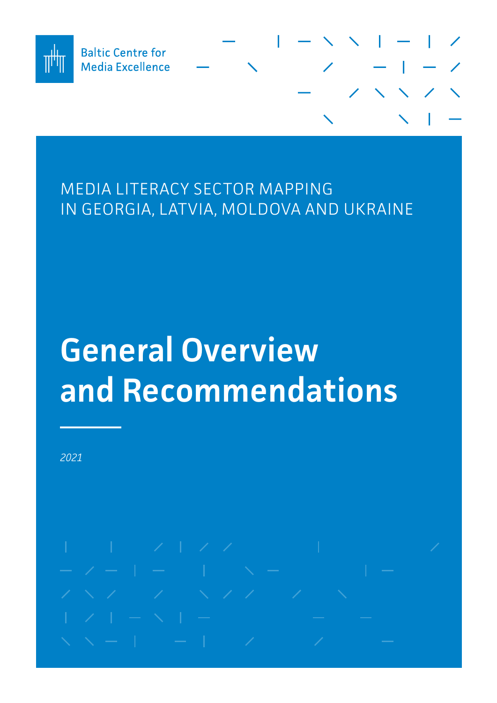

# MEDIA LITERACY SECTOR MAPPING IN GEORGIA, LATVIA, MOLDOVA AND UKRAINE

# **General Overview and Recommendations**

*2021*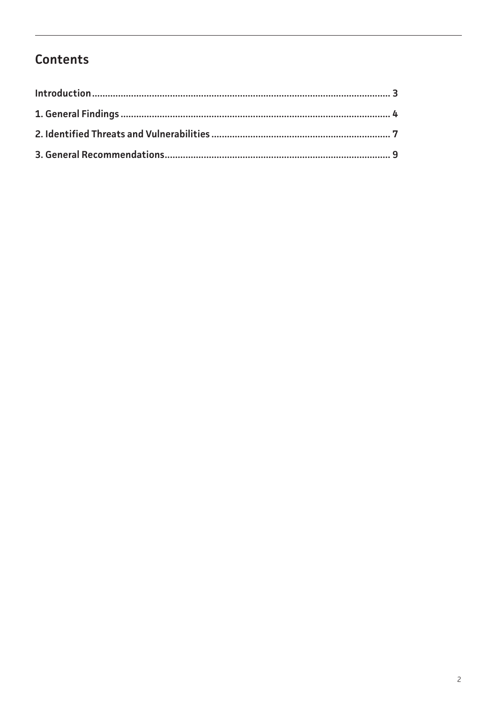# Contents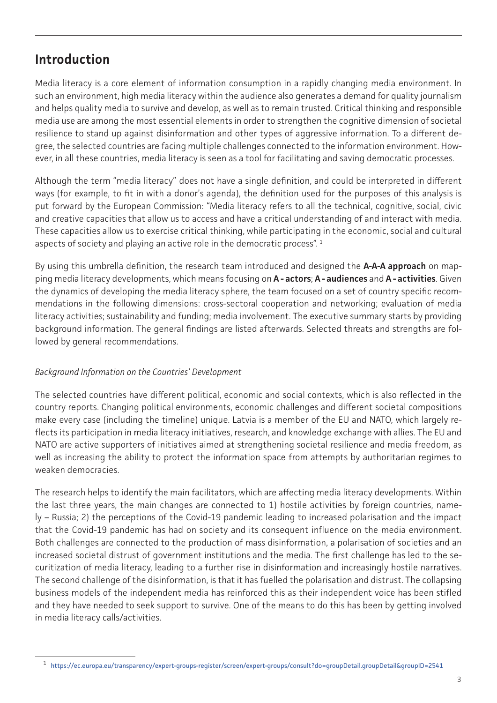# <span id="page-2-0"></span>**Introduction**

Media literacy is a core element of information consumption in a rapidly changing media environment. In such an environment, high media literacy within the audience also generates a demand for quality journalism and helps quality media to survive and develop, as well as to remain trusted. Critical thinking and responsible media use are among the most essential elements in order to strengthen the cognitive dimension of societal resilience to stand up against disinformation and other types of aggressive information. To a different degree, the selected countries are facing multiple challenges connected to the information environment. However, in all these countries, media literacy is seen as a tool for facilitating and saving democratic processes.

Although the term "media literacy" does not have a single definition, and could be interpreted in different ways (for example, to fit in with a donor's agenda), the definition used for the purposes of this analysis is put forward by the European Commission: "Media literacy refers to all the technical, cognitive, social, civic and creative capacities that allow us to access and have a critical understanding of and interact with media. These capacities allow us to exercise critical thinking, while participating in the economic, social and cultural aspects of society and playing an active role in the democratic process".<sup>1</sup>

By using this umbrella definition, the research team introduced and designed the **A-A-A approach** on mapping media literacy developments, which means focusing on **A - actors**; **A - audiences** and **A - activities**. Given the dynamics of developing the media literacy sphere, the team focused on a set of country specific recommendations in the following dimensions: cross-sectoral cooperation and networking; evaluation of media literacy activities; sustainability and funding; media involvement. The executive summary starts by providing background information. The general findings are listed afterwards. Selected threats and strengths are followed by general recommendations.

#### *Background Information on the Countries' Development*

The selected countries have different political, economic and social contexts, which is also reflected in the country reports. Changing political environments, economic challenges and different societal compositions make every case (including the timeline) unique. Latvia is a member of the EU and NATO, which largely reflects its participation in media literacy initiatives, research, and knowledge exchange with allies. The EU and NATO are active supporters of initiatives aimed at strengthening societal resilience and media freedom, as well as increasing the ability to protect the information space from attempts by authoritarian regimes to weaken democracies.

The research helps to identify the main facilitators, which are affecting media literacy developments. Within the last three years, the main changes are connected to 1) hostile activities by foreign countries, namely – Russia; 2) the perceptions of the Covid-19 pandemic leading to increased polarisation and the impact that the Covid-19 pandemic has had on society and its consequent influence on the media environment. Both challenges are connected to the production of mass disinformation, a polarisation of societies and an increased societal distrust of government institutions and the media. The first challenge has led to the securitization of media literacy, leading to a further rise in disinformation and increasingly hostile narratives. The second challenge of the disinformation, is that it has fuelled the polarisation and distrust. The collapsing business models of the independent media has reinforced this as their independent voice has been stifled and they have needed to seek support to survive. One of the means to do this has been by getting involved in media literacy calls/activities.

<sup>1</sup> [https://ec.europa.eu/transparency/expert-groups-register/screen/expert-groups/consult?do=groupDetail.groupDetail&groupID=2541](https://ec.europa.eu/transparency/expert-groups-register/screen/expert-groups/consult?do=groupDetail)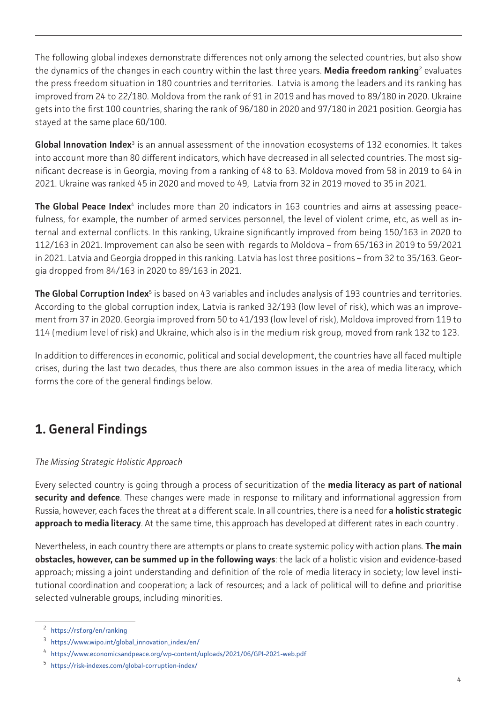<span id="page-3-0"></span>The following global indexes demonstrate differences not only among the selected countries, but also show the dynamics of the changes in each country within the last three years. **Media freedom ranking**<sup>2</sup> evaluates the press freedom situation in 180 countries and territories. Latvia is among the leaders and its ranking has improved from 24 to 22/180. Moldova from the rank of 91 in 2019 and has moved to 89/180 in 2020. Ukraine gets into the first 100 countries, sharing the rank of 96/180 in 2020 and 97/180 in 2021 position. Georgia has stayed at the same place 60/100.

Global Innovation Index<sup>3</sup> is an annual assessment of the innovation ecosystems of 132 economies. It takes into account more than 80 different indicators, which have decreased in all selected countries. The most significant decrease is in Georgia, moving from a ranking of 48 to 63. Moldova moved from 58 in 2019 to 64 in 2021. Ukraine was ranked 45 in 2020 and moved to 49, Latvia from 32 in 2019 moved to 35 in 2021.

**The Global Peace Index**<sup>4</sup> includes more than 20 indicators in 163 countries and aims at assessing peacefulness, for example, the number of armed services personnel, the level of violent crime, etc, as well as internal and external conflicts. In this ranking, Ukraine significantly improved from being 150/163 in 2020 to 112/163 in 2021. Improvement can also be seen with regards to Moldova – from 65/163 in 2019 to 59/2021 in 2021. Latvia and Georgia dropped in this ranking. Latvia has lost three positions – from 32 to 35/163. Georgia dropped from 84/163 in 2020 to 89/163 in 2021.

**The Global Corruption Index**<sup>5</sup> is based on 43 variables and includes analysis of 193 countries and territories. According to the global corruption index, Latvia is ranked 32/193 (low level of risk), which was an improvement from 37 in 2020. Georgia improved from 50 to 41/193 (low level of risk), Moldova improved from 119 to 114 (medium level of risk) and Ukraine, which also is in the medium risk group, moved from rank 132 to 123.

In addition to differences in economic, political and social development, the countries have all faced multiple crises, during the last two decades, thus there are also common issues in the area of media literacy, which forms the core of the general findings below.

# **1. General Findings**

#### *The Missing Strategic Holistic Approach*

Every selected country is going through a process of securitization of the **media literacy as part of national security and defence**. These changes were made in response to military and informational aggression from Russia, however, each faces the threat at a different scale. In all countries, there is a need for **a holistic strategic approach to media literacy**. At the same time, this approach has developed at different rates in each country .

Nevertheless, in each country there are attempts or plans to create systemic policy with action plans. **The main obstacles, however, can be summed up in the following ways**: the lack of a holistic vision and evidence-based approach; missing a joint understanding and definition of the role of media literacy in society; low level institutional coordination and cooperation; a lack of resources; and a lack of political will to define and prioritise selected vulnerable groups, including minorities.

<sup>2</sup> <https://rsf.org/en/ranking>

<sup>3</sup> [https://www.wipo.int/global\\_innovation\\_index/en/](https://www.wipo.int/global_innovation_index/en/)

<sup>4</sup> <https://www.economicsandpeace.org/wp-content/uploads/2021/06/GPI-2021-web.pdf>

<sup>5</sup> <https://risk-indexes.com/global-corruption-index/>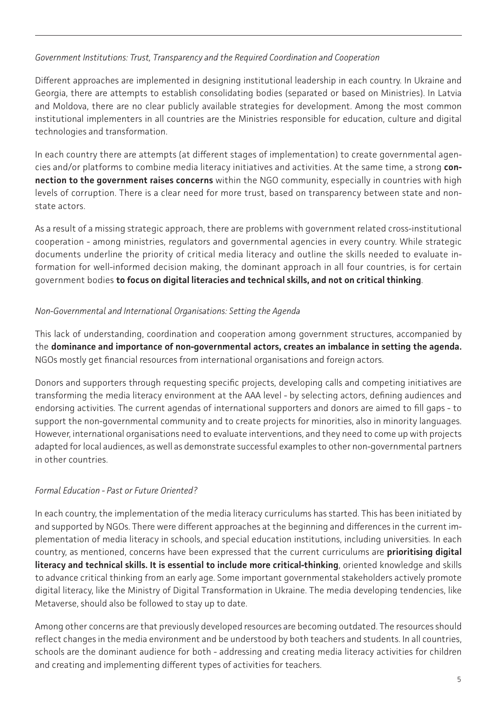#### *Government Institutions: Trust, Transparency and the Required Coordination and Cooperation*

Different approaches are implemented in designing institutional leadership in each country. In Ukraine and Georgia, there are attempts to establish consolidating bodies (separated or based on Ministries). In Latvia and Moldova, there are no clear publicly available strategies for development. Among the most common institutional implementers in all countries are the Ministries responsible for education, culture and digital technologies and transformation.

In each country there are attempts (at different stages of implementation) to create governmental agencies and/or platforms to combine media literacy initiatives and activities. At the same time, a strong **connection to the government raises concerns** within the NGO community, especially in countries with high levels of corruption. There is a clear need for more trust, based on transparency between state and nonstate actors.

As a result of a missing strategic approach, there are problems with government related cross-institutional cooperation - among ministries, regulators and governmental agencies in every country. While strategic documents underline the priority of critical media literacy and outline the skills needed to evaluate information for well-informed decision making, the dominant approach in all four countries, is for certain government bodies **to focus on digital literacies and technical skills, and not on critical thinking**.

#### *Non-Governmental and International Organisations: Setting the Agenda*

This lack of understanding, coordination and cooperation among government structures, accompanied by the **dominance and importance of non-governmental actors, creates an imbalance in setting the agenda.** NGOs mostly get financial resources from international organisations and foreign actors.

Donors and supporters through requesting specific projects, developing calls and competing initiatives are transforming the media literacy environment at the AAA level - by selecting actors, defining audiences and endorsing activities. The current agendas of international supporters and donors are aimed to fill gaps - to support the non-governmental community and to create projects for minorities, also in minority languages. However, international organisations need to evaluate interventions, and they need to come up with projects adapted for local audiences, as well as demonstrate successful examples to other non-governmental partners in other countries.

### *Formal Education - Past or Future Oriented?*

In each country, the implementation of the media literacy curriculums has started. This has been initiated by and supported by NGOs. There were different approaches at the beginning and differences in the current implementation of media literacy in schools, and special education institutions, including universities. In each country, as mentioned, concerns have been expressed that the current curriculums are **prioritising digital literacy and technical skills. It is essential to include more critical-thinking**, oriented knowledge and skills to advance critical thinking from an early age. Some important governmental stakeholders actively promote digital literacy, like the Ministry of Digital Transformation in Ukraine. The media developing tendencies, like Metaverse, should also be followed to stay up to date.

Among other concerns are that previously developed resources are becoming outdated. The resources should reflect changes in the media environment and be understood by both teachers and students. In all countries, schools are the dominant audience for both - addressing and creating media literacy activities for children and creating and implementing different types of activities for teachers.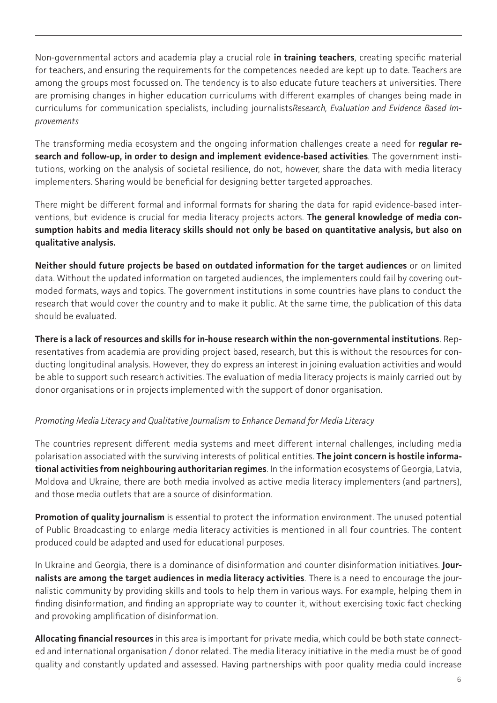Non-governmental actors and academia play a crucial role **in training teachers**, creating specific material for teachers, and ensuring the requirements for the competences needed are kept up to date. Teachers are among the groups most focussed on. The tendency is to also educate future teachers at universities. There are promising changes in higher education curriculums with different examples of changes being made in curriculums for communication specialists, including journalists*Research, Evaluation and Evidence Based Improvements* 

The transforming media ecosystem and the ongoing information challenges create a need for **regular research and follow-up, in order to design and implement evidence-based activities**. The government institutions, working on the analysis of societal resilience, do not, however, share the data with media literacy implementers. Sharing would be beneficial for designing better targeted approaches.

There might be different formal and informal formats for sharing the data for rapid evidence-based interventions, but evidence is crucial for media literacy projects actors. **The general knowledge of media consumption habits and media literacy skills should not only be based on quantitative analysis, but also on qualitative analysis.** 

**Neither should future projects be based on outdated information for the target audiences** or on limited data. Without the updated information on targeted audiences, the implementers could fail by covering outmoded formats, ways and topics. The government institutions in some countries have plans to conduct the research that would cover the country and to make it public. At the same time, the publication of this data should be evaluated.

**There is a lack of resources and skills for in-house research within the non-governmental institutions**. Representatives from academia are providing project based, research, but this is without the resources for conducting longitudinal analysis. However, they do express an interest in joining evaluation activities and would be able to support such research activities. The evaluation of media literacy projects is mainly carried out by donor organisations or in projects implemented with the support of donor organisation.

#### *Promoting Media Literacy and Qualitative Journalism to Enhance Demand for Media Literacy*

The countries represent different media systems and meet different internal challenges, including media polarisation associated with the surviving interests of political entities. **The joint concern is hostile informational activities from neighbouring authoritarian regimes**. In the information ecosystems of Georgia, Latvia, Moldova and Ukraine, there are both media involved as active media literacy implementers (and partners), and those media outlets that are a source of disinformation.

**Promotion of quality journalism** is essential to protect the information environment. The unused potential of Public Broadcasting to enlarge media literacy activities is mentioned in all four countries. The content produced could be adapted and used for educational purposes.

In Ukraine and Georgia, there is a dominance of disinformation and counter disinformation initiatives. **Journalists are among the target audiences in media literacy activities**. There is a need to encourage the journalistic community by providing skills and tools to help them in various ways. For example, helping them in finding disinformation, and finding an appropriate way to counter it, without exercising toxic fact checking and provoking amplification of disinformation.

**Allocating financial resources** in this area is important for private media, which could be both state connected and international organisation / donor related. The media literacy initiative in the media must be of good quality and constantly updated and assessed. Having partnerships with poor quality media could increase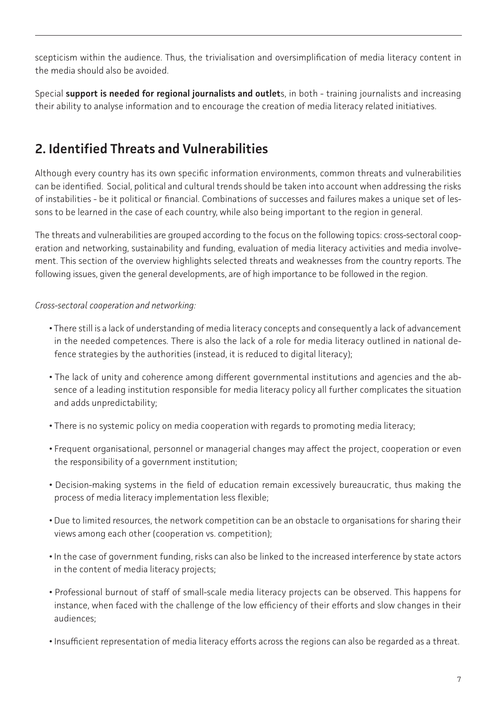<span id="page-6-0"></span>scepticism within the audience. Thus, the trivialisation and oversimplification of media literacy content in the media should also be avoided.

Special **support is needed for regional journalists and outlet**s, in both - training journalists and increasing their ability to analyse information and to encourage the creation of media literacy related initiatives.

# **2. Identified Threats and Vulnerabilities**

Although every country has its own specific information environments, common threats and vulnerabilities can be identified. Social, political and cultural trends should be taken into account when addressing the risks of instabilities - be it political or financial. Combinations of successes and failures makes a unique set of lessons to be learned in the case of each country, while also being important to the region in general.

The threats and vulnerabilities are grouped according to the focus on the following topics: cross-sectoral cooperation and networking, sustainability and funding, evaluation of media literacy activities and media involvement. This section of the overview highlights selected threats and weaknesses from the country reports. The following issues, given the general developments, are of high importance to be followed in the region.

*Cross-sectoral cooperation and networking:*

- There still is a lack of understanding of media literacy concepts and consequently a lack of advancement in the needed competences. There is also the lack of a role for media literacy outlined in national defence strategies by the authorities (instead, it is reduced to digital literacy);
- The lack of unity and coherence among different governmental institutions and agencies and the absence of a leading institution responsible for media literacy policy all further complicates the situation and adds unpredictability;
- There is no systemic policy on media cooperation with regards to promoting media literacy;
- Frequent organisational, personnel or managerial changes may affect the project, cooperation or even the responsibility of a government institution;
- Decision-making systems in the field of education remain excessively bureaucratic, thus making the process of media literacy implementation less flexible;
- Due to limited resources, the network competition can be an obstacle to organisations for sharing their views among each other (cooperation vs. competition);
- In the case of government funding, risks can also be linked to the increased interference by state actors in the content of media literacy projects;
- Professional burnout of staff of small-scale media literacy projects can be observed. This happens for instance, when faced with the challenge of the low efficiency of their efforts and slow changes in their audiences;
- Insufficient representation of media literacy efforts across the regions can also be regarded as a threat.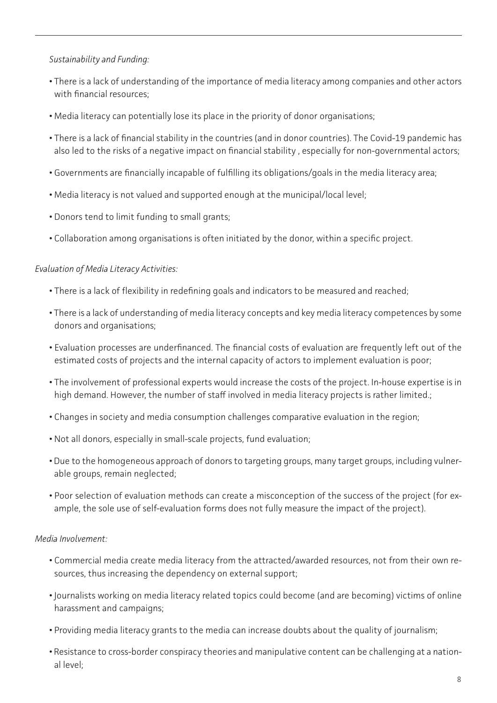#### *Sustainability and Funding:*

- There is a lack of understanding of the importance of media literacy among companies and other actors with financial resources;
- Media literacy can potentially lose its place in the priority of donor organisations;
- There is a lack of financial stability in the countries (and in donor countries). The Covid-19 pandemic has also led to the risks of a negative impact on financial stability , especially for non-governmental actors;
- Governments are financially incapable of fulfilling its obligations/goals in the media literacy area;
- Media literacy is not valued and supported enough at the municipal/local level;
- Donors tend to limit funding to small grants;
- Collaboration among organisations is often initiated by the donor, within a specific project.

#### *Evaluation of Media Literacy Activities:*

- There is a lack of flexibility in redefining goals and indicators to be measured and reached;
- There is a lack of understanding of media literacy concepts and key media literacy competences by some donors and organisations;
- Evaluation processes are underfinanced. The financial costs of evaluation are frequently left out of the estimated costs of projects and the internal capacity of actors to implement evaluation is poor;
- The involvement of professional experts would increase the costs of the project. In-house expertise is in high demand. However, the number of staff involved in media literacy projects is rather limited.;
- Changes in society and media consumption challenges comparative evaluation in the region;
- Not all donors, especially in small-scale projects, fund evaluation;
- Due to the homogeneous approach of donors to targeting groups, many target groups, including vulnerable groups, remain neglected;
- Poor selection of evaluation methods can create a misconception of the success of the project (for example, the sole use of self-evaluation forms does not fully measure the impact of the project).

#### *Media Involvement:*

- Commercial media create media literacy from the attracted/awarded resources, not from their own resources, thus increasing the dependency on external support;
- Journalists working on media literacy related topics could become (and are becoming) victims of online harassment and campaigns;
- Providing media literacy grants to the media can increase doubts about the quality of journalism;
- Resistance to cross-border conspiracy theories and manipulative content can be challenging at a national level;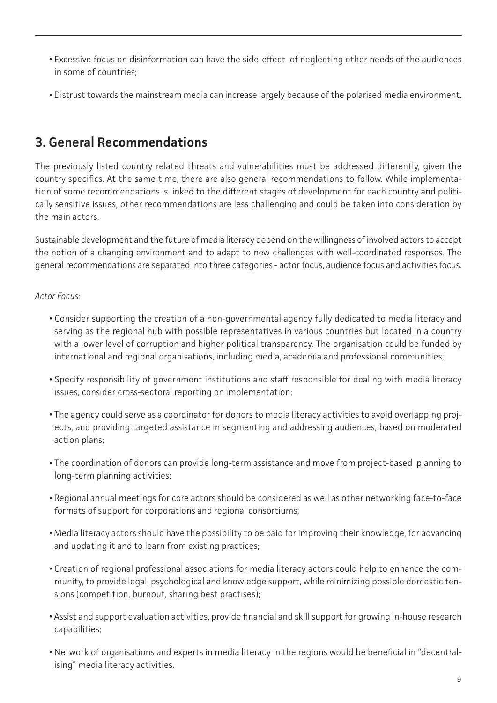- <span id="page-8-0"></span>**•** Excessive focus on disinformation can have the side-effect of neglecting other needs of the audiences in some of countries;
- Distrust towards the mainstream media can increase largely because of the polarised media environment.

## **3. General Recommendations**

The previously listed country related threats and vulnerabilities must be addressed differently, given the country specifics. At the same time, there are also general recommendations to follow. While implementation of some recommendations is linked to the different stages of development for each country and politically sensitive issues, other recommendations are less challenging and could be taken into consideration by the main actors.

Sustainable development and the future of media literacy depend on the willingness of involved actors to accept the notion of a changing environment and to adapt to new challenges with well-coordinated responses. The general recommendations are separated into three categories - actor focus, audience focus and activities focus.

*Actor Focus:*

- Consider supporting the creation of a non-governmental agency fully dedicated to media literacy and serving as the regional hub with possible representatives in various countries but located in a country with a lower level of corruption and higher political transparency. The organisation could be funded by international and regional organisations, including media, academia and professional communities;
- Specify responsibility of government institutions and staff responsible for dealing with media literacy issues, consider cross-sectoral reporting on implementation;
- The agency could serve as a coordinator for donors to media literacy activities to avoid overlapping projects, and providing targeted assistance in segmenting and addressing audiences, based on moderated action plans;
- The coordination of donors can provide long-term assistance and move from project-based planning to long-term planning activities;
- Regional annual meetings for core actors should be considered as well as other networking face-to-face formats of support for corporations and regional consortiums;
- Media literacy actors should have the possibility to be paid for improving their knowledge, for advancing and updating it and to learn from existing practices;
- Creation of regional professional associations for media literacy actors could help to enhance the community, to provide legal, psychological and knowledge support, while minimizing possible domestic tensions (competition, burnout, sharing best practises);
- Assist and support evaluation activities, provide financial and skill support for growing in-house research capabilities;
- Network of organisations and experts in media literacy in the regions would be beneficial in "decentralising" media literacy activities.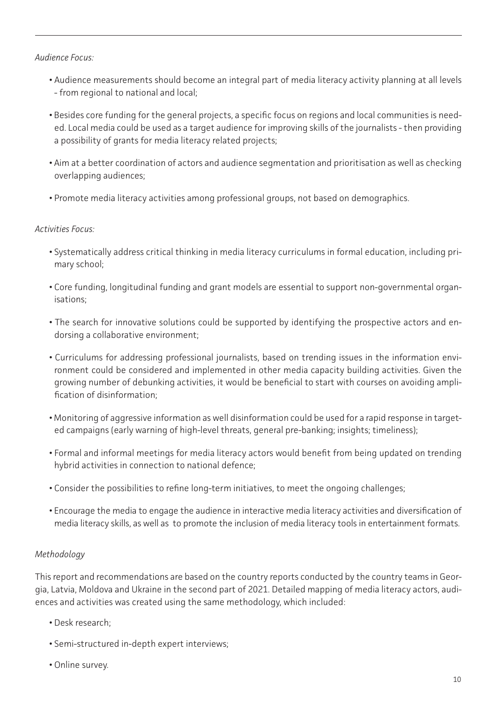#### *Audience Focus:*

- Audience measurements should become an integral part of media literacy activity planning at all levels - from regional to national and local;
- Besides core funding for the general projects, a specific focus on regions and local communities is needed. Local media could be used as a target audience for improving skills of the journalists - then providing a possibility of grants for media literacy related projects;
- Aim at a better coordination of actors and audience segmentation and prioritisation as well as checking overlapping audiences;
- Promote media literacy activities among professional groups, not based on demographics.

#### *Activities Focus:*

- Systematically address critical thinking in media literacy curriculums in formal education, including primary school;
- Core funding, longitudinal funding and grant models are essential to support non-governmental organisations;
- The search for innovative solutions could be supported by identifying the prospective actors and endorsing a collaborative environment;
- Curriculums for addressing professional journalists, based on trending issues in the information environment could be considered and implemented in other media capacity building activities. Given the growing number of debunking activities, it would be beneficial to start with courses on avoiding amplification of disinformation;
- Monitoring of aggressive information as well disinformation could be used for a rapid response in targeted campaigns (early warning of high-level threats, general pre-banking; insights; timeliness);
- Formal and informal meetings for media literacy actors would benefit from being updated on trending hybrid activities in connection to national defence;
- Consider the possibilities to refine long-term initiatives, to meet the ongoing challenges;
- Encourage the media to engage the audience in interactive media literacy activities and diversification of media literacy skills, as well as to promote the inclusion of media literacy tools in entertainment formats.

#### *Methodology*

This report and recommendations are based on the country reports conducted by the country teams in Georgia, Latvia, Moldova and Ukraine in the second part of 2021. Detailed mapping of media literacy actors, audiences and activities was created using the same methodology, which included:

- Desk research;
- Semi-structured in-depth expert interviews;
- Online survey.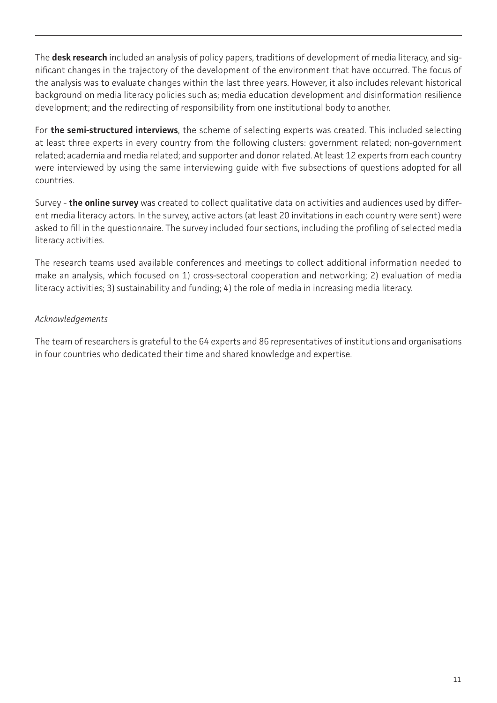The **desk research** included an analysis of policy papers, traditions of development of media literacy, and significant changes in the trajectory of the development of the environment that have occurred. The focus of the analysis was to evaluate changes within the last three years. However, it also includes relevant historical background on media literacy policies such as; media education development and disinformation resilience development; and the redirecting of responsibility from one institutional body to another.

For **the semi-structured interviews**, the scheme of selecting experts was created. This included selecting at least three experts in every country from the following clusters: government related; non-government related; academia and media related; and supporter and donor related. At least 12 experts from each country were interviewed by using the same interviewing guide with five subsections of questions adopted for all countries.

Survey - **the online survey** was created to collect qualitative data on activities and audiences used by different media literacy actors. In the survey, active actors (at least 20 invitations in each country were sent) were asked to fill in the questionnaire. The survey included four sections, including the profiling of selected media literacy activities.

The research teams used available conferences and meetings to collect additional information needed to make an analysis, which focused on 1) cross-sectoral cooperation and networking; 2) evaluation of media literacy activities; 3) sustainability and funding; 4) the role of media in increasing media literacy.

#### *Acknowledgements*

The team of researchers is grateful to the 64 experts and 86 representatives of institutions and organisations in four countries who dedicated their time and shared knowledge and expertise.